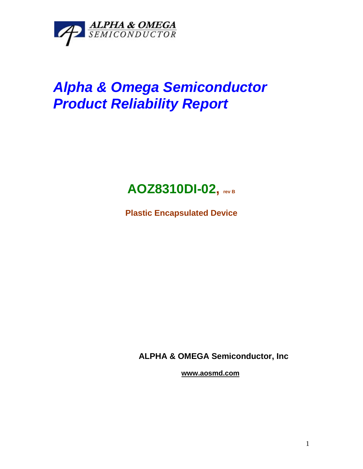

# *Alpha & Omega Semiconductor Product Reliability Report*

# **AOZ8310DI-02, rev <sup>B</sup>**

**Plastic Encapsulated Device**

**ALPHA & OMEGA Semiconductor, Inc**

**www.aosmd.com**